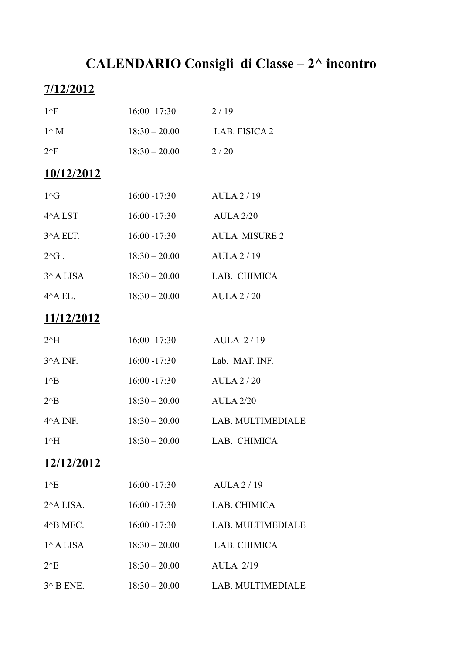# **CALENDARIO Consigli di Classe – 2^ incontro**

## **7/12/2012**

| $1^{\wedge}F$        | $16:00 - 17:30$ | 2/19                 |
|----------------------|-----------------|----------------------|
| $1^{\wedge} M$       | $18:30 - 20.00$ | <b>LAB. FISICA 2</b> |
| $2^{\wedge}F$        | $18:30 - 20.00$ | 2/20                 |
| 10/12/2012           |                 |                      |
| $1^\wedge$ G         | $16:00 - 17:30$ | AULA2/19             |
| $4^{\wedge}$ A LST   | $16:00 - 17:30$ | <b>AULA 2/20</b>     |
| 3^A ELT.             | $16:00 - 17:30$ | <b>AULA MISURE 2</b> |
| $2^{\wedge}G$ .      | $18:30 - 20.00$ | AULA2/19             |
| $3^{\wedge}$ A LISA  | $18:30 - 20.00$ | LAB. CHIMICA         |
| $4^{\wedge}$ A EL.   | $18:30 - 20.00$ | AULA 2/20            |
| <u>11/12/2012</u>    |                 |                      |
| $2^{\wedge}H$        | $16:00 - 17:30$ | <b>AULA 2/19</b>     |
| $3^{\wedge}$ A INF.  | $16:00 - 17:30$ | Lab. MAT. INF.       |
| $1^{\wedge}B$        | $16:00 - 17:30$ | AULA 2/20            |
| $2^{\wedge}B$        | $18:30 - 20.00$ | <b>AULA 2/20</b>     |
| $4^{\wedge}$ A INF.  | $18:30 - 20.00$ | LAB. MULTIMEDIALE    |
| $1^{\wedge}H$        | $18:30 - 20.00$ | LAB. CHIMICA         |
| 12/12/2012           |                 |                      |
| $1^{\wedge}E$        | $16:00 - 17:30$ | AULA2/19             |
| $2^{\wedge}$ A LISA. | $16:00 - 17:30$ | LAB. CHIMICA         |
| 4^B MEC.             | $16:00 - 17:30$ | LAB. MULTIMEDIALE    |
| $1^{\wedge}$ A LISA  | $18:30 - 20.00$ | LAB. CHIMICA         |
| $2^E$                | $18:30 - 20.00$ | <b>AULA 2/19</b>     |
| $3^{\wedge}$ B ENE.  | $18:30 - 20.00$ | LAB. MULTIMEDIALE    |